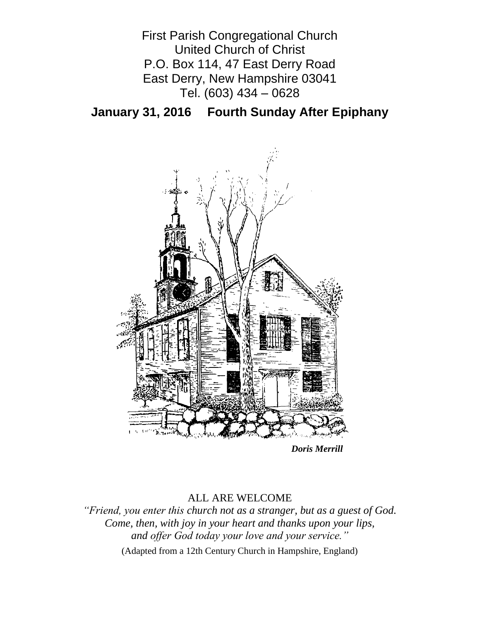

**January 31, 2016 Fourth Sunday After Epiphany**



*Doris Merrill*

# ALL ARE WELCOME

*"Friend, you enter this church not as a stranger, but as a guest of God. Come, then, with joy in your heart and thanks upon your lips, and offer God today your love and your service."*

(Adapted from a 12th Century Church in Hampshire, England)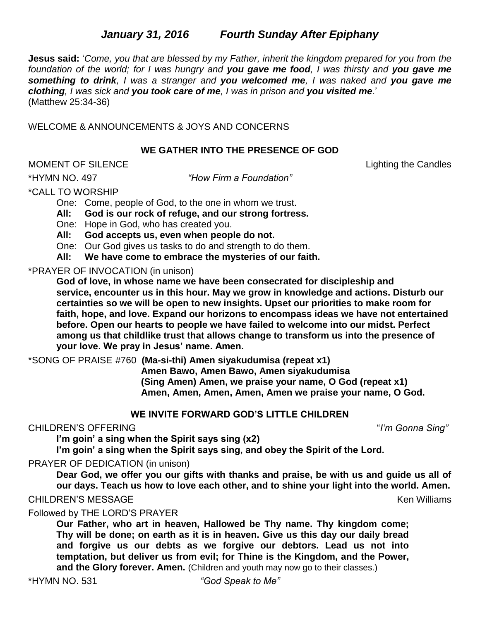# *January 31, 2016**Fourth Sunday After Epiphany*

**Jesus said:** '*Come, you that are blessed by my Father, inherit the kingdom prepared for you from the foundation of the world; for I was hungry and you gave me food, I was thirsty and you gave me something to drink, I was a stranger and you welcomed me, I was naked and you gave me clothing, I was sick and you took care of me, I was in prison and you visited me*.' (Matthew 25:34-36)

WELCOME & ANNOUNCEMENTS & JOYS AND CONCERNS

#### **WE GATHER INTO THE PRESENCE OF GOD**

MOMENT OF SILENCE Lighting the Candles

\*HYMN NO. 497 *"How Firm a Foundation"*

\*CALL TO WORSHIP

One: Come, people of God, to the one in whom we trust.

**All: God is our rock of refuge, and our strong fortress.**

One: Hope in God, who has created you.

**All: God accepts us, even when people do not.**

One: Our God gives us tasks to do and strength to do them.

**All: We have come to embrace the mysteries of our faith.**

\*PRAYER OF INVOCATION (in unison)

**God of love, in whose name we have been consecrated for discipleship and service, encounter us in this hour. May we grow in knowledge and actions. Disturb our certainties so we will be open to new insights. Upset our priorities to make room for faith, hope, and love. Expand our horizons to encompass ideas we have not entertained before. Open our hearts to people we have failed to welcome into our midst. Perfect among us that childlike trust that allows change to transform us into the presence of your love. We pray in Jesus' name. Amen.**

\*SONG OF PRAISE #760 **(Ma-si-thi) Amen siyakudumisa (repeat x1)**

**Amen Bawo, Amen Bawo, Amen siyakudumisa (Sing Amen) Amen, we praise your name, O God (repeat x1) Amen, Amen, Amen, Amen, Amen we praise your name, O God.**

### **WE INVITE FORWARD GOD'S LITTLE CHILDREN**

### CHILDREN'S OFFERING "*I'm Gonna Sing"*

**I'm goin' a sing when the Spirit says sing (x2)**

**I'm goin' a sing when the Spirit says sing, and obey the Spirit of the Lord.**

PRAYER OF DEDICATION (in unison)

**Dear God, we offer you our gifts with thanks and praise, be with us and guide us all of our days. Teach us how to love each other, and to shine your light into the world. Amen.**

### CHILDREN'S MESSAGE Ken Williams

Followed by THE LORD'S PRAYER

**Our Father, who art in heaven, Hallowed be Thy name. Thy kingdom come; Thy will be done; on earth as it is in heaven. Give us this day our daily bread and forgive us our debts as we forgive our debtors. Lead us not into temptation, but deliver us from evil; for Thine is the Kingdom, and the Power, and the Glory forever. Amen.** (Children and youth may now go to their classes.)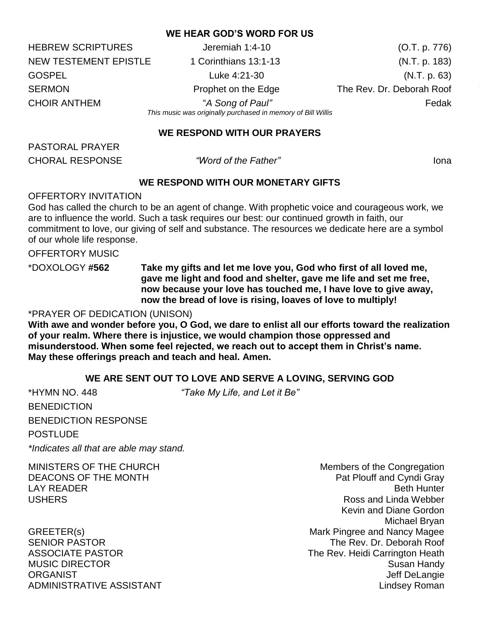### **WE HEAR GOD'S WORD FOR US**

HEBREW SCRIPTURES Jeremiah 1:4-10 (O.T. p. 776) NEW TESTEMENT EPISTLE 1 Corinthians 13:1-13 (N.T. p. 183) GOSPEL Luke 4:21-30 Luke 1:21 (N.T. p. 63) SERMON **Prophet on the Edge** The Rev. Dr. Deborah Roof The Rev. Dr. Deborah Roof CHOIR ANTHEM "*A Song of Paul"* Fedak *This music was originally purchased in memory of Bill Willis*

**WE RESPOND WITH OUR PRAYERS**

PASTORAL PRAYER CHORAL RESPONSE *"Word of the Father"* Iona

### **WE RESPOND WITH OUR MONETARY GIFTS**

#### OFFERTORY INVITATION

God has called the church to be an agent of change. With prophetic voice and courageous work, we are to influence the world. Such a task requires our best: our continued growth in faith, our commitment to love, our giving of self and substance. The resources we dedicate here are a symbol of our whole life response.

OFFERTORY MUSIC

\*DOXOLOGY **#562 Take my gifts and let me love you, God who first of all loved me, gave me light and food and shelter, gave me life and set me free, now because your love has touched me, I have love to give away, now the bread of love is rising, loaves of love to multiply!**

#### \*PRAYER OF DEDICATION (UNISON)

**With awe and wonder before you, O God, we dare to enlist all our efforts toward the realization of your realm. Where there is injustice, we would champion those oppressed and misunderstood. When some feel rejected, we reach out to accept them in Christ's name. May these offerings preach and teach and heal. Amen.** 

### **WE ARE SENT OUT TO LOVE AND SERVE A LOVING, SERVING GOD**

\*HYMN NO. 448 *"Take My Life, and Let it Be"* **BENEDICTION** BENEDICTION RESPONSE **POSTLUDE** *\*Indicates all that are able may stand.*

MINISTERS OF THE CHURCH MINISTERS OF THE CHURCH DEACONS OF THE MONTH **Pat Plouff and Cyndi Gray** LAY READER **Beth Hunter** Beth Hunter and the set of the set of the set of the set of the set of the set of the set of the set of the set of the set of the set of the set of the set of the set of the set of the set of the s USHERS **Ross** and Linda Webber Kevin and Diane Gordon Michael Bryan GREETER(s) GREETER(s) SENIOR PASTOR THE REV. Dr. Deborah Roof ASSOCIATE PASTOR **The Rev. Heidi Carrington Heath** MUSIC DIRECTOR Susan Handy ORGANIST **Superintendent Contract Contract Contract Contract Contract Contract Contract Contract Contract Contract Contract Contract Contract Contract Contract Contract Contract Contract Contract Contract Contract Contract** ADMINISTRATIVE ASSISTANT AND ALL THE LINDS OF A LINDS AND MINISTRATIVE ASSISTANT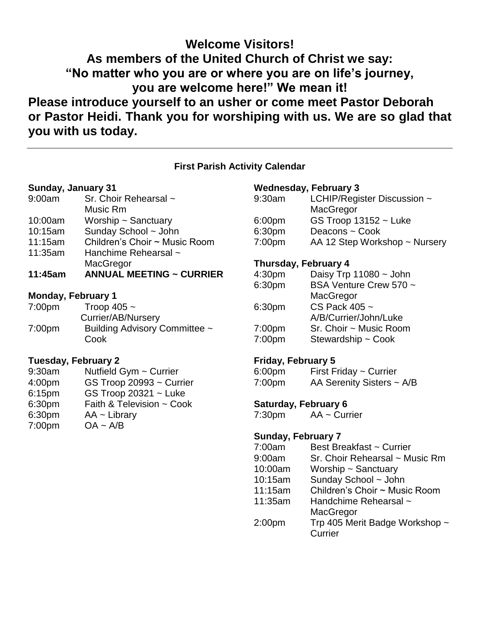# **Welcome Visitors! As members of the United Church of Christ we say: "No matter who you are or where you are on life's journey, you are welcome here!" We mean it! Please introduce yourself to an usher or come meet Pastor Deborah or Pastor Heidi. Thank you for worshiping with us. We are so glad that you with us today.**

### **First Parish Activity Calendar**

#### **Sunday, January 31**

| 9:00am  | Sr. Choir Rehearsal ~ |
|---------|-----------------------|
|         | Music Rm              |
| 10:00am | Worship ~ Sanctuary   |

- 10:15am Sunday School ~ John
- 11:15am Children's Choir ~ Music Room
- 11:35am Hanchime Rehearsal ~
- **MacGregor**
- **11:45am ANNUAL MEETING ~ CURRIER**

### **Monday, February 1**

| 7:00 <sub>pm</sub> | Troop 405 $\sim$                      |
|--------------------|---------------------------------------|
|                    | Currier/AB/Nursery                    |
| 7:00 <sub>pm</sub> | Building Advisory Committee ~<br>Cook |

### **Tuesday, February 2**

- 9:30am Nutfield Gym ~ Currier 4:00pm GS Troop 20993 ~ Currier
- 6:15pm GS Troop 20321 ~ Luke
- 6:30pm Faith & Television ~ Cook 6:30pm AA ~ Library
- 
- 7:00pm OA ~ A/B

# **Wednesday, February 3**

| 9:30am | LCHIP/Register Discussion ~   |
|--------|-------------------------------|
|        | MacGregor                     |
| 6:00pm | GS Troop $13152 -$ Luke       |
| 6:30pm | Deacons ~ Cook                |
| 7:00pm | AA 12 Step Workshop ~ Nursery |
|        |                               |

# **Thursday, February 4**

| 4:30 <sub>pm</sub> | Daisy Trp $11080 \sim$ John |
|--------------------|-----------------------------|
| 6:30pm             | BSA Venture Crew 570 ~      |
|                    | MacGregor                   |
| 6:30pm             | CS Pack 405 ~               |
|                    | A/B/Currier/John/Luke       |
| 7:00pm             | Sr. Choir ~ Music Room      |
| 7:00pm             | Stewardship ~ Cook          |

# **Friday, February 5**

| 6:00 <sub>pm</sub> | First Friday $\sim$ Currier |
|--------------------|-----------------------------|
| 7:00 <sub>pm</sub> | AA Serenity Sisters ~ A/B   |

# **Saturday, February 6**

7:30pm AA ~ Currier

# **Sunday, February 7**

| 7:00am             | Best Breakfast ~ Currier       |
|--------------------|--------------------------------|
| 9:00am             | Sr. Choir Rehearsal ~ Music Rm |
| 10:00am            | Worship $\sim$ Sanctuary       |
| 10:15am            | Sunday School ~ John           |
| 11:15am            | Children's Choir ~ Music Room  |
| 11:35am            | Handchime Rehearsal ~          |
|                    | MacGregor                      |
| 2:00 <sub>pm</sub> | Trp 405 Merit Badge Workshop ~ |
|                    | Currier                        |
|                    |                                |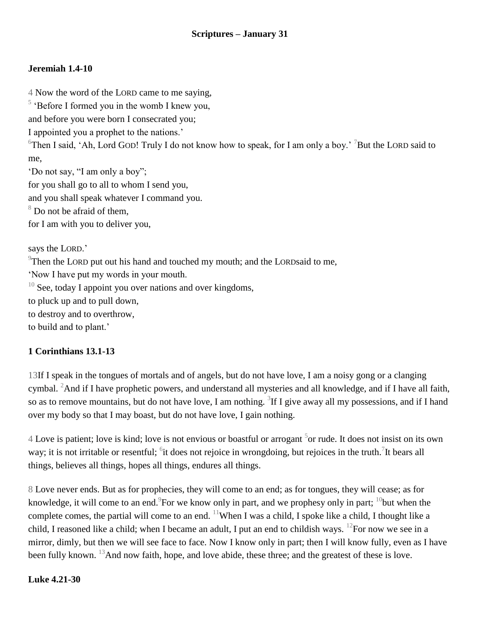# **Jeremiah 1.4-10**

4 Now the word of the LORD came to me saying,

<sup>5</sup> 'Before I formed you in the womb I knew you,

and before you were born I consecrated you;

I appointed you a prophet to the nations.'

<sup>6</sup>Then I said, 'Ah, Lord GOD! Truly I do not know how to speak, for I am only a boy.' <sup>7</sup>But the LORD said to me,

'Do not say, "I am only a boy";

for you shall go to all to whom I send you,

and you shall speak whatever I command you.

<sup>8</sup> Do not be afraid of them,

for I am with you to deliver you,

says the LORD.'

 $9$ Then the LORD put out his hand and touched my mouth; and the LORDsaid to me,

'Now I have put my words in your mouth.

 $10$  See, today I appoint you over nations and over kingdoms,

to pluck up and to pull down,

to destroy and to overthrow,

to build and to plant.'

### **1 Corinthians 13.1-13**

13If I speak in the tongues of mortals and of angels, but do not have love, I am a noisy gong or a clanging cymbal. <sup>2</sup>And if I have prophetic powers, and understand all mysteries and all knowledge, and if I have all faith, so as to remove mountains, but do not have love, I am nothing.  ${}^{3}$ If I give away all my possessions, and if I hand over my body so that I may boast, but do not have love, I gain nothing.

 $4$  Love is patient; love is kind; love is not envious or boastful or arrogant  $5$ or rude. It does not insist on its own way; it is not irritable or resentful; <sup>6</sup>it does not rejoice in wrongdoing, but rejoices in the truth. <sup>7</sup>It bears all things, believes all things, hopes all things, endures all things.

8 Love never ends. But as for prophecies, they will come to an end; as for tongues, they will cease; as for knowledge, it will come to an end.  $\degree$  For we know only in part, and we prophesy only in part;  $\degree$  but when the complete comes, the partial will come to an end. <sup>11</sup>When I was a child, I spoke like a child, I thought like a child, I reasoned like a child; when I became an adult, I put an end to childish ways. <sup>12</sup>For now we see in a mirror, dimly, but then we will see face to face. Now I know only in part; then I will know fully, even as I have been fully known. <sup>13</sup>And now faith, hope, and love abide, these three; and the greatest of these is love.

### **Luke 4.21-30**